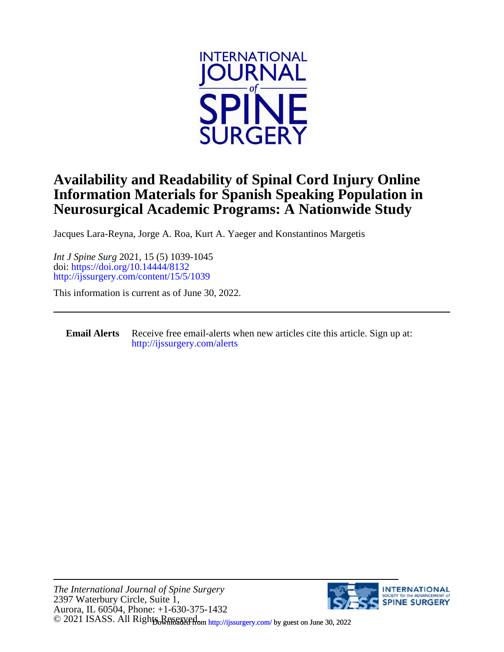

# **Neurosurgical Academic Programs: A Nationwide Study Information Materials for Spanish Speaking Population in Availability and Readability of Spinal Cord Injury Online**

Jacques Lara-Reyna, Jorge A. Roa, Kurt A. Yaeger and Konstantinos Margetis

<http://ijssurgery.com/content/15/5/1039> doi:<https://doi.org/10.14444/8132> *Int J Spine Surg* 2021, 15 (5) 1039-1045

This information is current as of June 30, 2022.

**Email Alerts** [http://ijssurgery.com/alerts](http://jpm.iijournals.com/alerts) Receive free email-alerts when new articles cite this article. Sign up at:

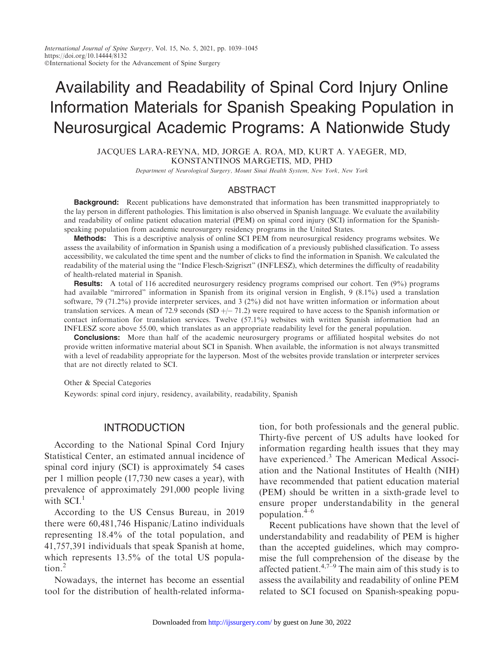# Availability and Readability of Spinal Cord Injury Online Information Materials for Spanish Speaking Population in Neurosurgical Academic Programs: A Nationwide Study

JACQUES LARA-REYNA, MD, JORGE A. ROA, MD, KURT A. YAEGER, MD, KONSTANTINOS MARGETIS, MD, PHD

Department of Neurological Surgery, Mount Sinai Health System, New York, New York

#### ABSTRACT

**Background:** Recent publications have demonstrated that information has been transmitted inappropriately to the lay person in different pathologies. This limitation is also observed in Spanish language. We evaluate the availability and readability of online patient education material (PEM) on spinal cord injury (SCI) information for the Spanishspeaking population from academic neurosurgery residency programs in the United States.

Methods: This is a descriptive analysis of online SCI PEM from neurosurgical residency programs websites. We assess the availability of information in Spanish using a modification of a previously published classification. To assess accessibility, we calculated the time spent and the number of clicks to find the information in Spanish. We calculated the readability of the material using the ''Indice Flesch-Szigriszt'' (INFLESZ), which determines the difficulty of readability of health-related material in Spanish.

**Results:** A total of 116 accredited neurosurgery residency programs comprised our cohort. Ten (9%) programs had available "mirrored" information in Spanish from its original version in English, 9 (8.1%) used a translation software, 79 (71.2%) provide interpreter services, and 3 (2%) did not have written information or information about translation services. A mean of 72.9 seconds  $(SD +/ -71.2)$  were required to have access to the Spanish information or contact information for translation services. Twelve (57.1%) websites with written Spanish information had an INFLESZ score above 55.00, which translates as an appropriate readability level for the general population.

**Conclusions:** More than half of the academic neurosurgery programs or affiliated hospital websites do not provide written informative material about SCI in Spanish. When available, the information is not always transmitted with a level of readability appropriate for the layperson. Most of the websites provide translation or interpreter services that are not directly related to SCI.

Other & Special Categories

Keywords: spinal cord injury, residency, availability, readability, Spanish

# INTRODUCTION

According to the National Spinal Cord Injury Statistical Center, an estimated annual incidence of spinal cord injury (SCI) is approximately 54 cases per 1 million people (17,730 new cases a year), with prevalence of approximately 291,000 people living with  $SCI<sup>1</sup>$ 

According to the US Census Bureau, in 2019 there were 60,481,746 Hispanic/Latino individuals representing 18.4% of the total population, and 41,757,391 individuals that speak Spanish at home, which represents 13.5% of the total US population.<sup>2</sup>

Nowadays, the internet has become an essential tool for the distribution of health-related information, for both professionals and the general public. Thirty-five percent of US adults have looked for information regarding health issues that they may have experienced.<sup>3</sup> The American Medical Association and the National Institutes of Health (NIH) have recommended that patient education material (PEM) should be written in a sixth-grade level to ensure proper understandability in the general population.4–6

Recent publications have shown that the level of understandability and readability of PEM is higher than the accepted guidelines, which may compromise the full comprehension of the disease by the affected patient.<sup>4,7–9</sup> The main aim of this study is to assess the availability and readability of online PEM related to SCI focused on Spanish-speaking popu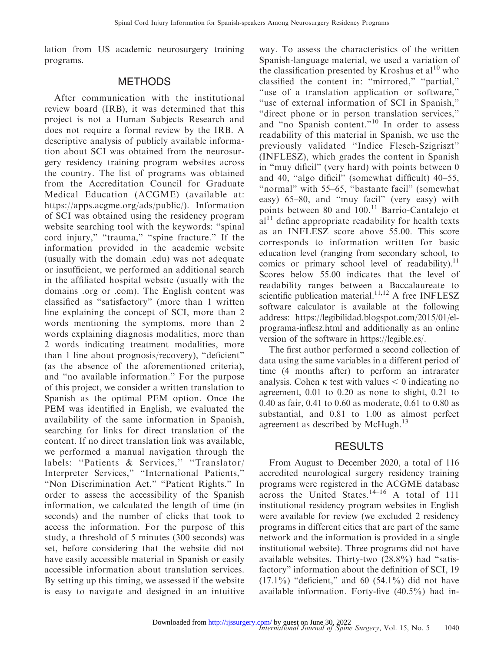lation from US academic neurosurgery training programs.

#### **METHODS**

After communication with the institutional review board (IRB), it was determined that this project is not a Human Subjects Research and does not require a formal review by the IRB. A descriptive analysis of publicly available information about SCI was obtained from the neurosurgery residency training program websites across the country. The list of programs was obtained from the Accreditation Council for Graduate Medical Education (ACGME) (available at: https://apps.acgme.org/ads/public/). Information of SCI was obtained using the residency program website searching tool with the keywords: ''spinal cord injury," "trauma," "spine fracture." If the information provided in the academic website (usually with the domain .edu) was not adequate or insufficient, we performed an additional search in the affiliated hospital website (usually with the domains .org or .com). The English content was classified as ''satisfactory'' (more than 1 written line explaining the concept of SCI, more than 2 words mentioning the symptoms, more than 2 words explaining diagnosis modalities, more than 2 words indicating treatment modalities, more than 1 line about prognosis/recovery), ''deficient'' (as the absence of the aforementioned criteria), and ''no available information.'' For the purpose of this project, we consider a written translation to Spanish as the optimal PEM option. Once the PEM was identified in English, we evaluated the availability of the same information in Spanish, searching for links for direct translation of the content. If no direct translation link was available, we performed a manual navigation through the labels: "Patients & Services," "Translator/ Interpreter Services,'' ''International Patients,'' ''Non Discrimination Act,'' ''Patient Rights.'' In order to assess the accessibility of the Spanish information, we calculated the length of time (in seconds) and the number of clicks that took to access the information. For the purpose of this study, a threshold of 5 minutes (300 seconds) was set, before considering that the website did not have easily accessible material in Spanish or easily accessible information about translation services. By setting up this timing, we assessed if the website is easy to navigate and designed in an intuitive

way. To assess the characteristics of the written Spanish-language material, we used a variation of the classification presented by Kroshus et  $al^{10}$  who classified the content in: ''mirrored,'' ''partial,'' ''use of a translation application or software,'' ''use of external information of SCI in Spanish,'' ''direct phone or in person translation services,'' and ''no Spanish content.''<sup>10</sup> In order to assess readability of this material in Spanish, we use the previously validated ''Indice Flesch-Szigriszt'' (INFLESZ), which grades the content in Spanish in ''muy dificil'' (very hard) with points between 0 and 40, "algo dificil" (somewhat difficult) 40-55, "normal" with 55–65, "bastante facil" (somewhat easy) 65–80, and ''muy facil'' (very easy) with points between 80 and  $100<sup>11</sup>$  Barrio-Cantalejo et  $al<sup>11</sup>$  define appropriate readability for health texts as an INFLESZ score above 55.00. This score corresponds to information written for basic education level (ranging from secondary school, to comics or primary school level of readability). $^{11}$ Scores below 55.00 indicates that the level of readability ranges between a Baccalaureate to scientific publication material.<sup>11,12</sup> A free INFLESZ software calculator is available at the following address: https://legibilidad.blogspot.com/2015/01/elprograma-inflesz.html and additionally as an online version of the software in https://legible.es/.

The first author performed a second collection of data using the same variables in a different period of time (4 months after) to perform an intrarater analysis. Cohen  $\kappa$  test with values  $\leq 0$  indicating no agreement, 0.01 to 0.20 as none to slight, 0.21 to 0.40 as fair, 0.41 to 0.60 as moderate, 0.61 to 0.80 as substantial, and 0.81 to 1.00 as almost perfect agreement as described by McHugh.<sup>13</sup>

### **RESULTS**

From August to December 2020, a total of 116 accredited neurological surgery residency training programs were registered in the ACGME database across the United States.<sup>14–16</sup> A total of 111 institutional residency program websites in English were available for review (we excluded 2 residency programs in different cities that are part of the same network and the information is provided in a single institutional website). Three programs did not have available websites. Thirty-two (28.8%) had ''satisfactory'' information about the definition of SCI, 19  $(17.1\%)$  "deficient," and 60 (54.1%) did not have available information. Forty-five (40.5%) had in-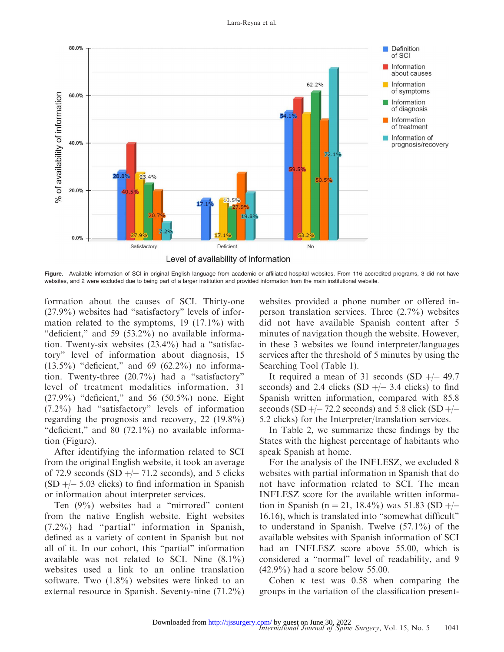

Figure. Available information of SCI in original English language from academic or affiliated hospital websites. From 116 accredited programs, 3 did not have websites, and 2 were excluded due to being part of a larger institution and provided information from the main institutional website.

formation about the causes of SCI. Thirty-one (27.9%) websites had ''satisfactory'' levels of information related to the symptoms, 19 (17.1%) with "deficient," and 59 (53.2%) no available information. Twenty-six websites (23.4%) had a ''satisfactory'' level of information about diagnosis, 15  $(13.5\%)$  "deficient," and 69  $(62.2\%)$  no information. Twenty-three (20.7%) had a ''satisfactory'' level of treatment modalities information, 31 (27.9%) ''deficient,'' and 56 (50.5%) none. Eight (7.2%) had ''satisfactory'' levels of information regarding the prognosis and recovery, 22 (19.8%) "deficient," and  $80$  (72.1%) no available information (Figure).

After identifying the information related to SCI from the original English website, it took an average of 72.9 seconds  $(SD + -71.2$  seconds), and 5 clicks  $(SD + - 5.03$  clicks) to find information in Spanish or information about interpreter services.

Ten (9%) websites had a ''mirrored'' content from the native English website. Eight websites (7.2%) had ''partial'' information in Spanish, defined as a variety of content in Spanish but not all of it. In our cohort, this ''partial'' information available was not related to SCI. Nine (8.1%) websites used a link to an online translation software. Two (1.8%) websites were linked to an external resource in Spanish. Seventy-nine (71.2%) websites provided a phone number or offered inperson translation services. Three (2.7%) websites did not have available Spanish content after 5 minutes of navigation though the website. However, in these 3 websites we found interpreter/languages services after the threshold of 5 minutes by using the Searching Tool (Table 1).

It required a mean of 31 seconds  $(SD + -49.7)$ seconds) and 2.4 clicks  $(SD + -3.4$  clicks) to find Spanish written information, compared with 85.8 seconds (SD  $+$  – 72.2 seconds) and 5.8 click (SD  $+$  – 5.2 clicks) for the Interpreter/translation services.

In Table 2, we summarize these findings by the States with the highest percentage of habitants who speak Spanish at home.

For the analysis of the INFLESZ, we excluded 8 websites with partial information in Spanish that do not have information related to SCI. The mean INFLESZ score for the available written information in Spanish (n = 21, 18.4%) was 51.83 (SD  $+/-$ 16.16), which is translated into ''somewhat difficult'' to understand in Spanish. Twelve (57.1%) of the available websites with Spanish information of SCI had an INFLESZ score above 55.00, which is considered a ''normal'' level of readability, and 9 (42.9%) had a score below 55.00.

Cohen  $\kappa$  test was 0.58 when comparing the groups in the variation of the classification present-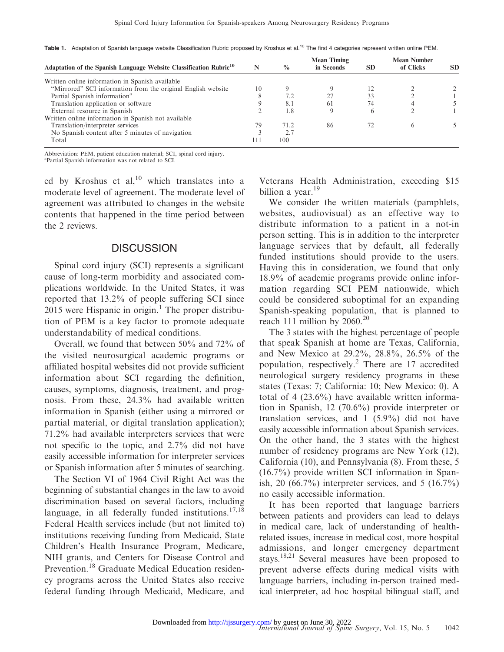| Adaptation of the Spanish Language Website Classification Rubric <sup>10</sup> | N   | $\frac{0}{0}$ | <b>Mean Timing</b><br>in Seconds | <b>SD</b>    | <b>Mean Number</b><br>of Clicks | SD |
|--------------------------------------------------------------------------------|-----|---------------|----------------------------------|--------------|---------------------------------|----|
| Written online information in Spanish available                                |     |               |                                  |              |                                 |    |
| "Mirrored" SCI information from the original English website                   | 10  |               |                                  |              |                                 |    |
| Partial Spanish information <sup>a</sup>                                       |     | 7.2           | 27                               | 33           |                                 |    |
| Translation application or software                                            |     | 8.1           | 61                               | 74           |                                 |    |
| External resource in Spanish                                                   |     | 1.8           | Q                                | <sub>(</sub> |                                 |    |
| Written online information in Spanish not available                            |     |               |                                  |              |                                 |    |
| Translation/interpreter services                                               | 79  | 71.2          | 86                               |              | $\theta$                        |    |
| No Spanish content after 5 minutes of navigation                               |     | 2.7           |                                  |              |                                 |    |
| Total                                                                          | 111 | 100           |                                  |              |                                 |    |

Table 1. Adaptation of Spanish language website Classification Rubric proposed by Kroshus et al.<sup>10</sup> The first 4 categories represent written online PEM.

Abbreviation: PEM, patient education material; SCI, spinal cord injury.

a Partial Spanish information was not related to SCI.

ed by Kroshus et al, $^{10}$  which translates into a moderate level of agreement. The moderate level of agreement was attributed to changes in the website contents that happened in the time period between the 2 reviews.

## **DISCUSSION**

Spinal cord injury (SCI) represents a significant cause of long-term morbidity and associated complications worldwide. In the United States, it was reported that 13.2% of people suffering SCI since  $2015$  were Hispanic in origin.<sup>1</sup> The proper distribution of PEM is a key factor to promote adequate understandability of medical conditions.

Overall, we found that between 50% and 72% of the visited neurosurgical academic programs or affiliated hospital websites did not provide sufficient information about SCI regarding the definition, causes, symptoms, diagnosis, treatment, and prognosis. From these, 24.3% had available written information in Spanish (either using a mirrored or partial material, or digital translation application); 71.2% had available interpreters services that were not specific to the topic, and 2.7% did not have easily accessible information for interpreter services or Spanish information after 5 minutes of searching.

The Section VI of 1964 Civil Right Act was the beginning of substantial changes in the law to avoid discrimination based on several factors, including language, in all federally funded institutions. $17,18$ Federal Health services include (but not limited to) institutions receiving funding from Medicaid, State Children's Health Insurance Program, Medicare, NIH grants, and Centers for Disease Control and Prevention.<sup>18</sup> Graduate Medical Education residency programs across the United States also receive federal funding through Medicaid, Medicare, and Veterans Health Administration, exceeding \$15 billion a year.<sup>19</sup>

We consider the written materials (pamphlets, websites, audiovisual) as an effective way to distribute information to a patient in a not-in person setting. This is in addition to the interpreter language services that by default, all federally funded institutions should provide to the users. Having this in consideration, we found that only 18.9% of academic programs provide online information regarding SCI PEM nationwide, which could be considered suboptimal for an expanding Spanish-speaking population, that is planned to reach 111 million by  $2060.<sup>20</sup>$ 

The 3 states with the highest percentage of people that speak Spanish at home are Texas, California, and New Mexico at 29.2%, 28.8%, 26.5% of the population, respectively.<sup>2</sup> There are 17 accredited neurological surgery residency programs in these states (Texas: 7; California: 10; New Mexico: 0). A total of 4 (23.6%) have available written information in Spanish, 12 (70.6%) provide interpreter or translation services, and 1 (5.9%) did not have easily accessible information about Spanish services. On the other hand, the 3 states with the highest number of residency programs are New York (12), California (10), and Pennsylvania (8). From these, 5 (16.7%) provide written SCI information in Spanish, 20  $(66.7\%)$  interpreter services, and 5  $(16.7\%)$ no easily accessible information.

It has been reported that language barriers between patients and providers can lead to delays in medical care, lack of understanding of healthrelated issues, increase in medical cost, more hospital admissions, and longer emergency department stays.18,21 Several measures have been proposed to prevent adverse effects during medical visits with language barriers, including in-person trained medical interpreter, ad hoc hospital bilingual staff, and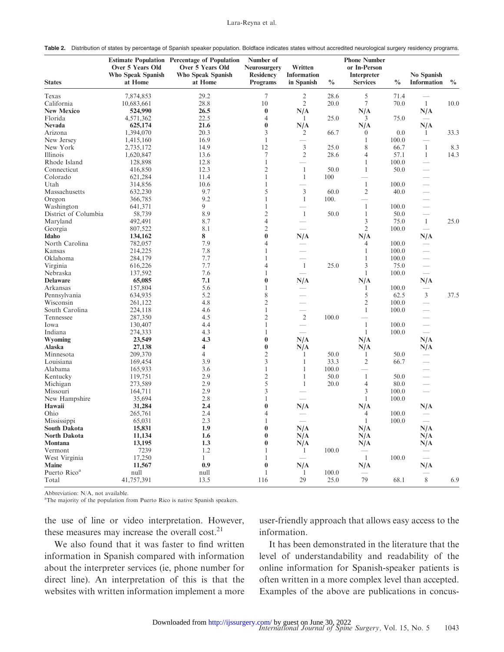Table 2. Distribution of states by percentage of Spanish speaker population. Boldface indicates states without accredited neurological surgery residency programs.

| <b>States</b>            | Over 5 Years Old<br><b>Who Speak Spanish</b><br>at Home | <b>Estimate Population Percentage of Population</b><br>Over 5 Years Old<br><b>Who Speak Spanish</b><br>at Home | Number of<br><b>Neurosurgery</b><br><b>Residency</b><br><b>Programs</b> | Written<br><b>Information</b><br>in Spanish | $\frac{0}{0}$ | <b>Phone Number</b><br>or In-Person<br><b>Interpreter</b><br><b>Services</b> | $\frac{0}{0}$ | No Spanish<br>Information                 | $\frac{0}{0}$ |
|--------------------------|---------------------------------------------------------|----------------------------------------------------------------------------------------------------------------|-------------------------------------------------------------------------|---------------------------------------------|---------------|------------------------------------------------------------------------------|---------------|-------------------------------------------|---------------|
| Texas                    | 7,874,853                                               | 29.2                                                                                                           | 7                                                                       | $\overline{2}$                              | 28.6          | 5                                                                            | 71.4          | $\overline{\phantom{a}}$                  |               |
| California               | 10,683,661                                              | 28.8                                                                                                           | 10                                                                      | $\sqrt{2}$                                  | 20.0          | $\tau$                                                                       | 70.0          | $\mathbf{1}$                              | 10.0          |
| <b>New Mexico</b>        | 524,990                                                 | 26.5                                                                                                           | $\bf{0}$                                                                | N/A                                         |               | N/A                                                                          |               | N/A                                       |               |
| Florida                  | 4,571,362                                               | 22.5                                                                                                           | 4                                                                       | $\mathbf{1}$                                | 25.0          | 3                                                                            | 75.0          | $\overline{\phantom{m}}$                  |               |
| <b>Nevada</b>            | 625,174                                                 | 21.6                                                                                                           | $\bf{0}$                                                                | N/A                                         |               | N/A                                                                          |               | N/A                                       |               |
| Arizona                  | 1,394,070                                               | 20.3                                                                                                           | 3                                                                       | 2                                           | 66.7          | $\overline{0}$                                                               | 0.0           | $\mathbf{1}$                              | 33.3          |
| New Jersey               | 1,415,160                                               | 16.9                                                                                                           | 1                                                                       |                                             |               | 1                                                                            | 100.0         |                                           |               |
| New York                 | 2,735,172                                               | 14.9                                                                                                           | 12                                                                      | $\mathfrak z$                               | 25.0          | 8                                                                            | 66.7          | 1                                         | 8.3           |
| Illinois                 | 1,620,847                                               | 13.6                                                                                                           | $\tau$                                                                  | $\overline{2}$                              | 28.6          | $\overline{4}$                                                               | 57.1          | $\mathbf{1}$                              | 14.3          |
| Rhode Island             | 128,898                                                 | 12.8                                                                                                           | $\mathbf{1}$                                                            |                                             |               | 1                                                                            | 100.0         |                                           |               |
| Connecticut              | 416,850                                                 | 12.3                                                                                                           | $\mathfrak{2}$                                                          | $\mathbf{1}$                                | 50.0          | $\mathbf{1}$                                                                 | 50.0          | $\overline{\phantom{0}}$                  |               |
| Colorado                 | 621,284                                                 | 11.4                                                                                                           | 1                                                                       | $\mathbf{1}$                                | 100           | $\equiv$                                                                     |               |                                           |               |
| Utah                     | 314,856                                                 | 10.6                                                                                                           | $\mathbf{1}$                                                            |                                             |               | $\mathbf{1}$                                                                 | 100.0         | $\overline{\phantom{0}}$                  |               |
| Massachusetts            | 632,230                                                 | 9.7                                                                                                            | 5                                                                       | $\mathfrak{Z}$                              | 60.0          | $\mathfrak{2}$                                                               | 40.0          | $\qquad \qquad$                           |               |
| Oregon                   | 366,785                                                 | 9.2                                                                                                            | 1                                                                       | -1                                          | 100.          |                                                                              |               |                                           |               |
| Washington               | 641,371                                                 | 9                                                                                                              | 1                                                                       | $\equiv$                                    |               | $\mathbf{1}$                                                                 | 100.0         | $\equiv$                                  |               |
| District of Columbia     | 58,739                                                  | 8.9                                                                                                            | $\mathfrak{2}$                                                          | $\mathbf{1}$                                | 50.0          | $\mathbf{1}$                                                                 | 50.0          | $\overline{\phantom{a}}$                  |               |
| Maryland                 | 492,491                                                 | 8.7                                                                                                            | $\overline{4}$                                                          |                                             |               | 3                                                                            | 75.0          | $\mathbf{1}$                              | 25.0          |
| Georgia                  | 807,522                                                 | 8.1                                                                                                            | $\mathfrak{2}$                                                          | $\qquad \qquad =$                           |               | 2                                                                            | 100.0         | $\equiv$                                  |               |
| Idaho                    | 134,162                                                 | 8                                                                                                              | $\bf{0}$                                                                | N/A                                         |               | N/A                                                                          |               | N/A                                       |               |
| North Carolina           | 782,057                                                 | 7.9                                                                                                            | $\overline{4}$                                                          | $\qquad \qquad \longleftarrow$              |               | 4                                                                            | 100.0         | $\qquad \qquad -$                         |               |
| Kansas                   | 214,225                                                 | 7.8                                                                                                            | 1                                                                       | $\overline{\phantom{0}}$                    |               | 1                                                                            | 100.0         | $\qquad \qquad \overline{\qquad \qquad }$ |               |
| Oklahoma                 | 284,179                                                 | 7.7                                                                                                            | $\mathbf{1}$                                                            | $\overline{\phantom{0}}$                    |               | $\mathbf{1}$                                                                 | 100.0         | $\overline{\phantom{0}}$                  |               |
| Virginia                 | 616,226                                                 | 7.7                                                                                                            | $\overline{4}$                                                          | -1                                          | 25.0          | 3                                                                            | 75.0          | $\overline{\phantom{a}}$                  |               |
| Nebraska                 | 137,592                                                 | 7.6                                                                                                            | 1                                                                       | $\equiv$                                    |               | 1                                                                            | 100.0         |                                           |               |
| <b>Delaware</b>          | 65,085                                                  | 7.1                                                                                                            | $\bf{0}$                                                                | N/A                                         |               | N/A                                                                          |               | N/A                                       |               |
| Arkansas                 | 157,804                                                 | 5.6                                                                                                            | 1                                                                       | $\overline{\phantom{a}}$                    |               | 1                                                                            | 100.0         | $\overline{\phantom{m}}$                  |               |
| Pennsylvania             | 634,935                                                 | 5.2                                                                                                            | $\,$ 8 $\,$                                                             | $\overline{\phantom{0}}$                    |               | 5                                                                            | 62.5          | 3                                         | 37.5          |
| Wisconsin                | 261,122                                                 | 4.8                                                                                                            | $\mathfrak{2}$                                                          | $\overline{\phantom{0}}$                    |               | $\mathfrak{2}$                                                               | 100.0         | $\frac{1}{2}$                             |               |
| South Carolina           | 224,118                                                 | 4.6                                                                                                            | $\mathbf{1}$                                                            | $\overline{\phantom{0}}$                    |               | $\mathbf{1}$                                                                 | 100.0         | $\overline{\phantom{a}}$                  |               |
| Tennessee                | 287,350                                                 | 4.5                                                                                                            | $\mathfrak{2}$                                                          | $\mathfrak{2}$                              | 100.0         | $\overline{\phantom{0}}$                                                     |               | $\overline{\phantom{0}}$                  |               |
| Iowa                     | 130,407                                                 | 4.4                                                                                                            | 1                                                                       | $\equiv$                                    |               | $\mathbf{1}$                                                                 | 100.0         | $\equiv$                                  |               |
| Indiana                  | 274,333                                                 | 4.3                                                                                                            | 1                                                                       | $\equiv$                                    |               | $\mathbf{1}$                                                                 | 100.0         |                                           |               |
| Wyoming                  | 23,549                                                  | 4.3                                                                                                            | $\bf{0}$                                                                | N/A                                         |               | N/A                                                                          |               | N/A                                       |               |
| Alaska                   | 27,138                                                  | 4                                                                                                              | $\bf{0}$                                                                | N/A                                         |               | N/A                                                                          |               | N/A                                       |               |
| Minnesota                | 209,370                                                 | $\overline{4}$                                                                                                 | $\overline{c}$                                                          | 1                                           | 50.0          | 1                                                                            | 50.0          | $\overline{\phantom{m}}$                  |               |
| Louisiana                | 169,454                                                 | 3.9                                                                                                            | 3                                                                       | $\mathbf{1}$                                | 33.3          | $\overline{2}$                                                               | 66.7          | $\qquad \qquad$                           |               |
| Alabama                  | 165,933                                                 | 3.6                                                                                                            | $\mathbf{1}$                                                            | $\mathbf{1}$                                | 100.0         |                                                                              |               |                                           |               |
| Kentucky                 | 119,751                                                 | 2.9                                                                                                            | $\mathfrak{2}$                                                          | -1                                          | 50.0          | $\mathbf{1}$                                                                 | 50.0          |                                           |               |
| Michigan                 | 273,589                                                 | 2.9                                                                                                            | 5                                                                       | -1                                          | 20.0          | $\overline{4}$                                                               | 80.0          |                                           |               |
| Missouri                 | 164,711                                                 | 2.9                                                                                                            | 3                                                                       |                                             |               | 3                                                                            | 100.0         |                                           |               |
| New Hampshire            | 35,694                                                  | 2.8                                                                                                            | 1                                                                       |                                             |               | 1                                                                            | 100.0         |                                           |               |
| Hawaii                   | 31,284                                                  | 2.4                                                                                                            | $\bf{0}$                                                                | N/A                                         |               | N/A                                                                          |               | N/A                                       |               |
| Ohio                     | 265,761                                                 | 2.4                                                                                                            | 4                                                                       | $\overline{\phantom{a}}$                    |               | 4                                                                            | 100.0         | $\hspace{0.05cm}$                         |               |
| Mississippi              | 65,031                                                  | 2.3                                                                                                            | 1                                                                       | $\overline{\phantom{a}}$                    |               | 1                                                                            | 100.0         | $\overline{\phantom{a}}$                  |               |
| <b>South Dakota</b>      | 15,831                                                  | 1.9                                                                                                            | $\boldsymbol{0}$                                                        | N/A                                         |               | N/A                                                                          |               | N/A                                       |               |
| North Dakota             | 11,134                                                  | 1.6                                                                                                            | $\boldsymbol{0}$                                                        | N/A                                         |               | N/A                                                                          |               | N/A                                       |               |
| Montana                  | 13,195                                                  | 1.3                                                                                                            | 0                                                                       | N/A                                         |               | N/A                                                                          |               | N/A                                       |               |
| Vermont                  | 7239                                                    | 1.2                                                                                                            | 1                                                                       | $\mathbf{1}$                                | 100.0         | $\overline{\phantom{m}}$                                                     |               | $\hspace{0.1mm}-\hspace{0.1mm}$           |               |
| West Virginia            | 17,250                                                  | $\mathbf{1}$                                                                                                   | 1                                                                       |                                             |               | $\mathbf{1}$                                                                 | 100.0         |                                           |               |
| <b>Maine</b>             | 11,567                                                  | 0.9                                                                                                            | $\pmb{0}$                                                               | N/A                                         |               | N/A                                                                          |               | N/A                                       |               |
| Puerto Rico <sup>a</sup> | null                                                    | null                                                                                                           |                                                                         | $\mathbf{1}$                                | 100.0         | $\overline{\phantom{m}}$                                                     |               | $\overline{\phantom{m}}$                  |               |
| Total                    | 41,757,391                                              | 13.5                                                                                                           | 116                                                                     | 29                                          | 25.0          | 79                                                                           | 68.1          | $\, 8$                                    | 6.9           |

Abbreviation: N/A, not available. a The majority of the population from Puerto Rico is native Spanish speakers.

the use of line or video interpretation. However, these measures may increase the overall cost.<sup>21</sup>

We also found that it was faster to find written information in Spanish compared with information about the interpreter services (ie, phone number for direct line). An interpretation of this is that the websites with written information implement a more user-friendly approach that allows easy access to the information.

It has been demonstrated in the literature that the level of understandability and readability of the online information for Spanish-speaker patients is often written in a more complex level than accepted. Examples of the above are publications in concus-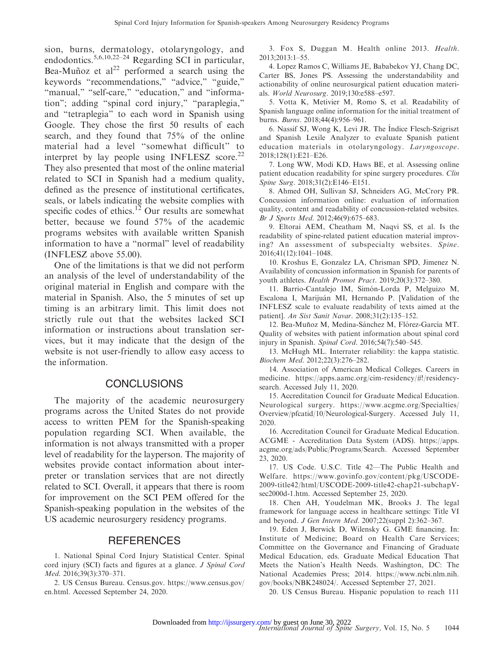sion, burns, dermatology, otolaryngology, and endodontics.5,6,10,22–24 Regarding SCI in particular, Bea-Muñoz et al<sup>22</sup> performed a search using the keywords "recommendations," "advice," "guide," "manual," "self-care," "education," and "information''; adding ''spinal cord injury,'' ''paraplegia,'' and ''tetraplegia'' to each word in Spanish using Google. They chose the first 50 results of each search, and they found that 75% of the online material had a level ''somewhat difficult'' to interpret by lay people using INFLESZ score. $^{22}$ They also presented that most of the online material related to SCI in Spanish had a medium quality, defined as the presence of institutional certificates, seals, or labels indicating the website complies with specific codes of ethics.<sup>12</sup> Our results are somewhat better, because we found 57% of the academic programs websites with available written Spanish information to have a ''normal'' level of readability (INFLESZ above 55.00).

One of the limitations is that we did not perform an analysis of the level of understandability of the original material in English and compare with the material in Spanish. Also, the 5 minutes of set up timing is an arbitrary limit. This limit does not strictly rule out that the websites lacked SCI information or instructions about translation services, but it may indicate that the design of the website is not user-friendly to allow easy access to the information.

# **CONCLUSIONS**

The majority of the academic neurosurgery programs across the United States do not provide access to written PEM for the Spanish-speaking population regarding SCI. When available, the information is not always transmitted with a proper level of readability for the layperson. The majority of websites provide contact information about interpreter or translation services that are not directly related to SCI. Overall, it appears that there is room for improvement on the SCI PEM offered for the Spanish-speaking population in the websites of the US academic neurosurgery residency programs.

#### REFERENCES

1. National Spinal Cord Injury Statistical Center. Spinal cord injury (SCI) facts and figures at a glance. J Spinal Cord Med. 2016;39(3):370–371.

2. US Census Bureau. Census.gov. https://www.census.gov/ en.html. Accessed September 24, 2020.

3. Fox S, Duggan M. Health online 2013. Health. 2013;2013:1–55.

4. Lopez Ramos C, Williams JE, Bababekov YJ, Chang DC, Carter BS, Jones PS. Assessing the understandability and actionability of online neurosurgical patient education materials. World Neurosurg. 2019;130:e588–e597.

5. Votta K, Metivier M, Romo S, et al. Readability of Spanish language online information for the initial treatment of burns. Burns. 2018;44(4):956–961.

6. Nassif SJ, Wong K, Levi JR. The ´ Indice Flesch-Szigriszt and Spanish Lexile Analyzer to evaluate Spanish patient education materials in otolaryngology. Laryngoscope. 2018;128(1):E21–E26.

7. Long WW, Modi KD, Haws BE, et al. Assessing online patient education readability for spine surgery procedures. Clin Spine Surg. 2018;31(2):E146–E151.

8. Ahmed OH, Sullivan SJ, Schneiders AG, McCrory PR. Concussion information online: evaluation of information quality, content and readability of concussion-related websites. Br J Sports Med. 2012;46(9):675–683.

9. Eltorai AEM, Cheatham M, Naqvi SS, et al. Is the readability of spine-related patient education material improving? An assessment of subspecialty websites. Spine. 2016;41(12):1041–1048.

10. Kroshus E, Gonzalez LA, Chrisman SPD, Jimenez N. Availability of concussion information in Spanish for parents of youth athletes. Health Promot Pract. 2019;20(3):372–380.

11. Barrio-Cantalejo IM, Simón-Lorda P, Melguizo M, Escalona I, Marijuán MI, Hernando P. [Validation of the INFLESZ scale to evaluate readability of texts aimed at the patient]. An Sist Sanit Navar. 2008;31(2):135–152.

12. Bea-Muñoz M, Medina-Sánchez M, Flórez-García MT. Quality of websites with patient information about spinal cord injury in Spanish. Spinal Cord. 2016;54(7):540–545.

13. McHugh ML. Interrater reliability: the kappa statistic. Biochem Med. 2012;22(3):276–282.

14. Association of American Medical Colleges. Careers in medicine. https://apps.aamc.org/cim-residency/#!/residencysearch. Accessed July 11, 2020.

15. Accreditation Council for Graduate Medical Education. Neurological surgery. https://www.acgme.org/Specialties/ Overview/pfcatid/10/Neurological-Surgery. Accessed July 11, 2020.

16. Accreditation Council for Graduate Medical Education. ACGME - Accreditation Data System (ADS). https://apps. acgme.org/ads/Public/Programs/Search. Accessed September 23, 2020.

17. US Code. U.S.C. Title 42—The Public Health and Welfare. https://www.govinfo.gov/content/pkg/USCODE-2009-title42/html/USCODE-2009-title42-chap21-subchapVsec2000d-1.htm. Accessed September 25, 2020.

18. Chen AH, Youdelman MK, Brooks J. The legal framework for language access in healthcare settings: Title VI and beyond. J Gen Intern Med. 2007;22(suppl 2):362–367.

19. Eden J, Berwick D, Wilensky G. GME financing. In: Institute of Medicine; Board on Health Care Services; Committee on the Governance and Financing of Graduate Medical Education, eds. Graduate Medical Education That Meets the Nation's Health Needs. Washington, DC: The National Academies Press; 2014. https://www.ncbi.nlm.nih. gov/books/NBK248024/. Accessed September 27, 2021.

20. US Census Bureau. Hispanic population to reach 111